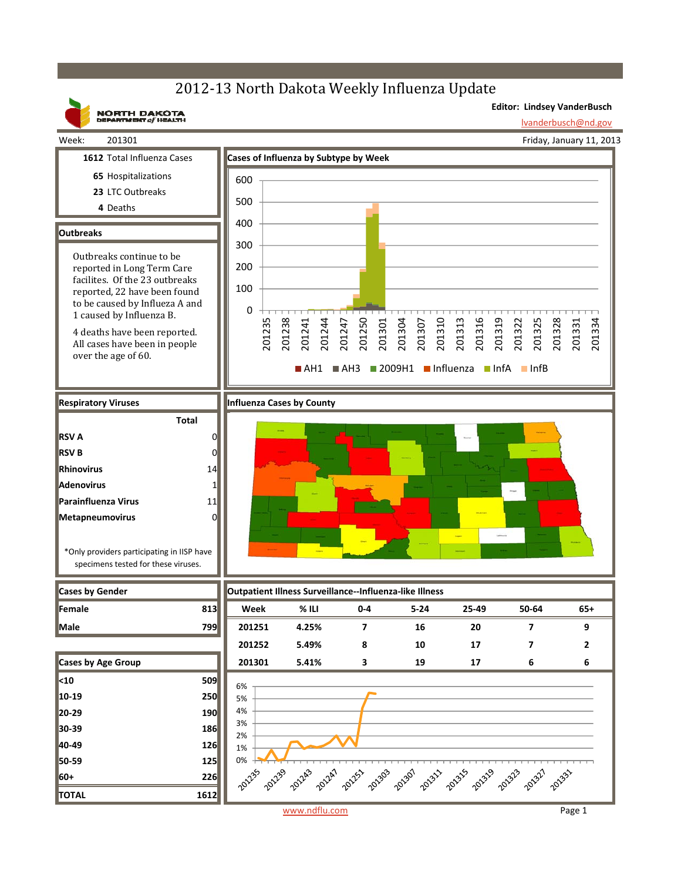## 2012-13 North Dakota Weekly Influenza Update



www.ndflu.com Page 1